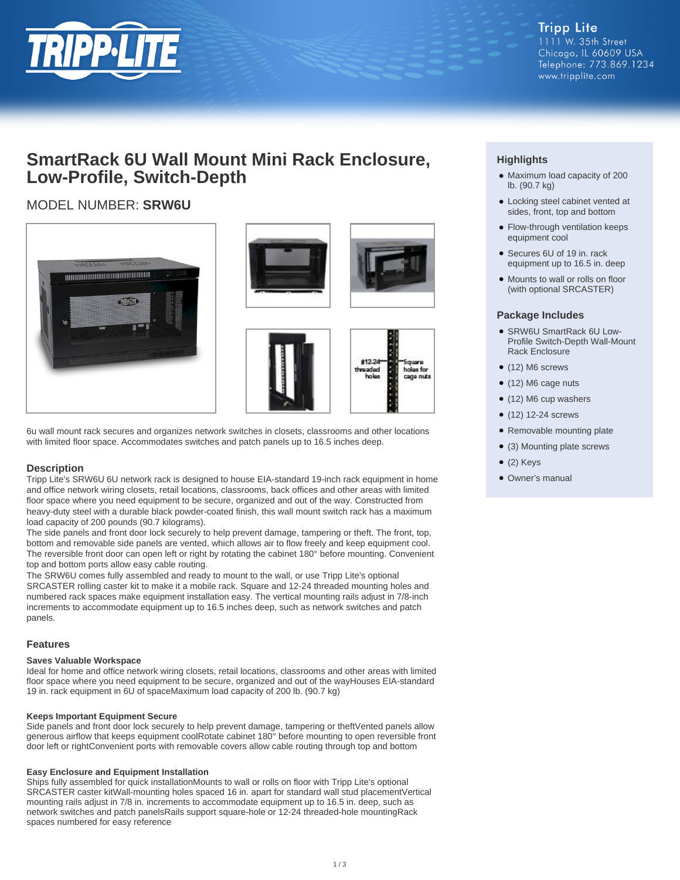

**Tripp Lite** 1111 W. 35th Street Chicago, IL 60609 USA Telephone: 773.869.1234 www.tripplite.com

## **SmartRack 6U Wall Mount Mini Rack Enclosure, Low-Profile, Switch-Depth**

## MODEL NUMBER: **SRW6U**





6u wall mount rack secures and organizes network switches in closets, classrooms and other locations with limited floor space. Accommodates switches and patch panels up to 16.5 inches deep.

#### **Description**

Tripp Lite's SRW6U 6U network rack is designed to house EIA-standard 19-inch rack equipment in home and office network wiring closets, retail locations, classrooms, back offices and other areas with limited floor space where you need equipment to be secure, organized and out of the way. Constructed from heavy-duty steel with a durable black powder-coated finish, this wall mount switch rack has a maximum load capacity of 200 pounds (90.7 kilograms).

The side panels and front door lock securely to help prevent damage, tampering or theft. The front, top, bottom and removable side panels are vented, which allows air to flow freely and keep equipment cool. The reversible front door can open left or right by rotating the cabinet 180° before mounting. Convenient top and bottom ports allow easy cable routing.

The SRW6U comes fully assembled and ready to mount to the wall, or use Tripp Lite's optional SRCASTER rolling caster kit to make it a mobile rack. Square and 12-24 threaded mounting holes and numbered rack spaces make equipment installation easy. The vertical mounting rails adjust in 7/8-inch increments to accommodate equipment up to 16.5 inches deep, such as network switches and patch panels.

#### **Features**

#### **Saves Valuable Workspace**

Ideal for home and office network wiring closets, retail locations, classrooms and other areas with limited floor space where you need equipment to be secure, organized and out of the wayHouses EIA-standard 19 in. rack equipment in 6U of spaceMaximum load capacity of 200 lb. (90.7 kg)

#### **Keeps Important Equipment Secure**

Side panels and front door lock securely to help prevent damage, tampering or theftVented panels allow generous airflow that keeps equipment coolRotate cabinet 180° before mounting to open reversible front door left or rightConvenient ports with removable covers allow cable routing through top and bottom

#### **Easy Enclosure and Equipment Installation**

Ships fully assembled for quick installationMounts to wall or rolls on floor with Tripp Lite's optional SRCASTER caster kitWall-mounting holes spaced 16 in. apart for standard wall stud placementVertical mounting rails adjust in 7/8 in. increments to accommodate equipment up to 16.5 in. deep, such as network switches and patch panelsRails support square-hole or 12-24 threaded-hole mountingRack spaces numbered for easy reference

### **Highlights**

- Maximum load capacity of 200 lb. (90.7 kg)
- Locking steel cabinet vented at sides, front, top and bottom
- Flow-through ventilation keeps equipment cool
- Secures 6U of 19 in. rack equipment up to 16.5 in. deep
- Mounts to wall or rolls on floor (with optional SRCASTER)

#### **Package Includes**

- SRW6U SmartRack 6U Low-Profile Switch-Depth Wall-Mount Rack Enclosure
- (12) M6 screws
- (12) M6 cage nuts
- (12) M6 cup washers
- (12) 12-24 screws
- Removable mounting plate
- (3) Mounting plate screws
- $\bullet$  (2) Keys
- Owner's manual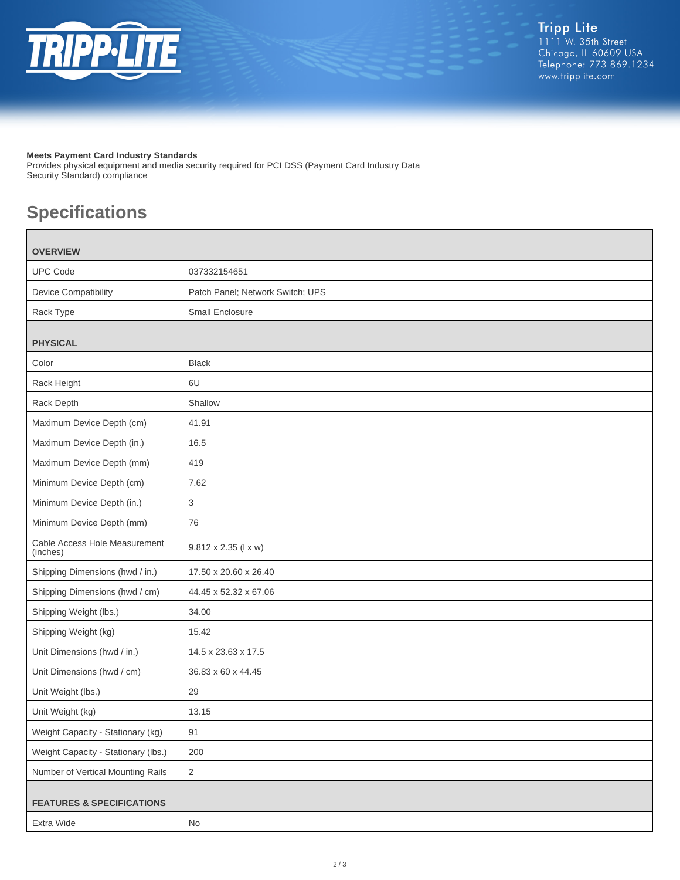

#### **Meets Payment Card Industry Standards**

Provides physical equipment and media security required for PCI DSS (Payment Card Industry Data Security Standard) compliance

# **Specifications**

| <b>OVERVIEW</b>                           |                                  |
|-------------------------------------------|----------------------------------|
| <b>UPC Code</b>                           | 037332154651                     |
| Device Compatibility                      | Patch Panel; Network Switch; UPS |
| Rack Type                                 | <b>Small Enclosure</b>           |
| <b>PHYSICAL</b>                           |                                  |
| Color                                     | <b>Black</b>                     |
| Rack Height                               | 6U                               |
|                                           | Shallow                          |
| Rack Depth                                |                                  |
| Maximum Device Depth (cm)                 | 41.91                            |
| Maximum Device Depth (in.)                | 16.5                             |
| Maximum Device Depth (mm)                 | 419                              |
| Minimum Device Depth (cm)                 | 7.62                             |
| Minimum Device Depth (in.)                | 3                                |
| Minimum Device Depth (mm)                 | 76                               |
| Cable Access Hole Measurement<br>(inches) | 9.812 x 2.35 (I x w)             |
| Shipping Dimensions (hwd / in.)           | 17.50 x 20.60 x 26.40            |
| Shipping Dimensions (hwd / cm)            | 44.45 x 52.32 x 67.06            |
| Shipping Weight (lbs.)                    | 34.00                            |
| Shipping Weight (kg)                      | 15.42                            |
| Unit Dimensions (hwd / in.)               | 14.5 x 23.63 x 17.5              |
| Unit Dimensions (hwd / cm)                | 36.83 x 60 x 44.45               |
| Unit Weight (lbs.)                        | 29                               |
| Unit Weight (kg)                          | 13.15                            |
| Weight Capacity - Stationary (kg)         | 91                               |
| Weight Capacity - Stationary (lbs.)       | 200                              |
| Number of Vertical Mounting Rails         | $\overline{2}$                   |
|                                           |                                  |
| <b>FEATURES &amp; SPECIFICATIONS</b>      |                                  |
| Extra Wide                                | No                               |